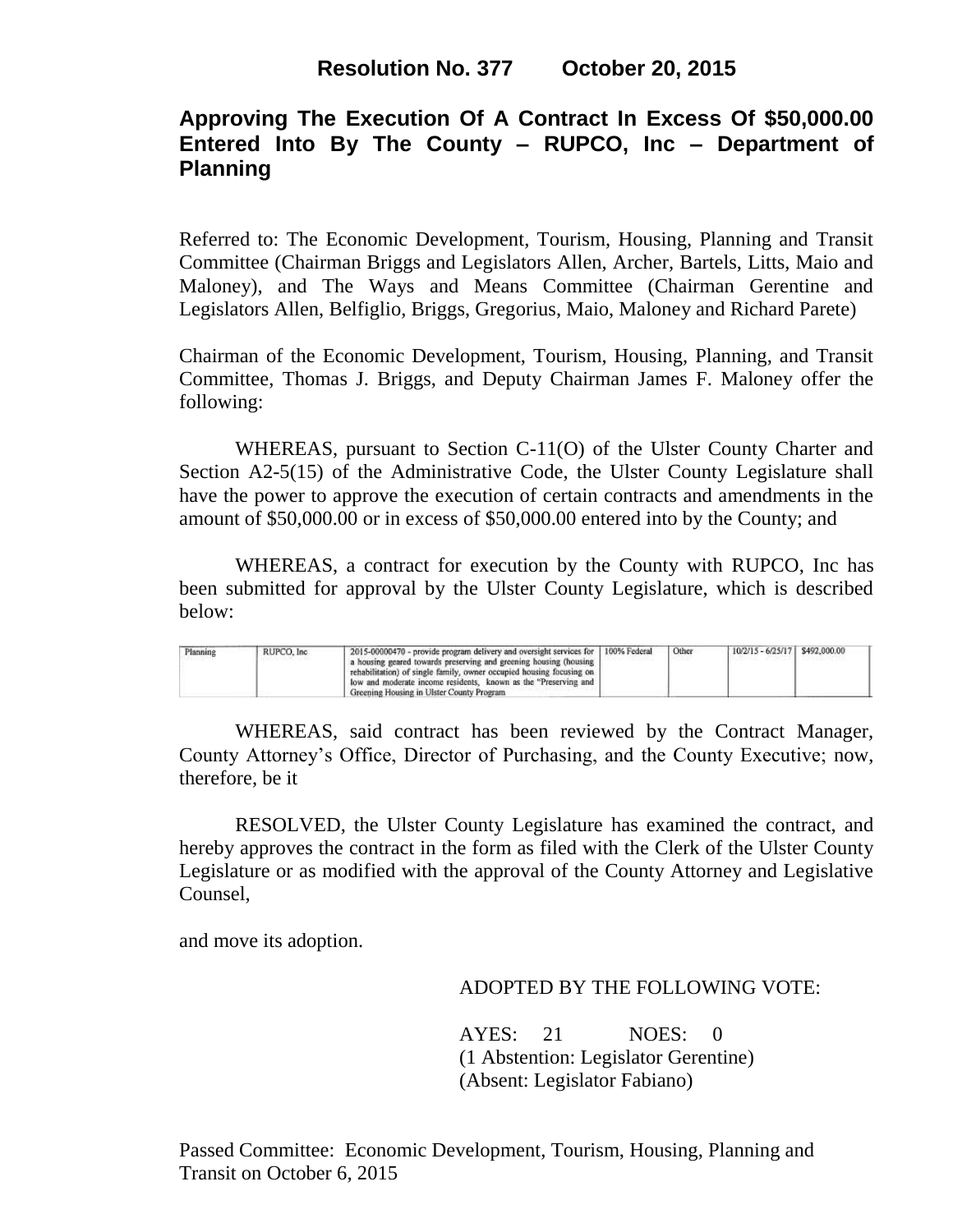# **Approving The Execution Of A Contract In Excess Of \$50,000.00 Entered Into By The County – RUPCO, Inc – Department of Planning**

Referred to: The Economic Development, Tourism, Housing, Planning and Transit Committee (Chairman Briggs and Legislators Allen, Archer, Bartels, Litts, Maio and Maloney), and The Ways and Means Committee (Chairman Gerentine and Legislators Allen, Belfiglio, Briggs, Gregorius, Maio, Maloney and Richard Parete)

Chairman of the Economic Development, Tourism, Housing, Planning, and Transit Committee, Thomas J. Briggs, and Deputy Chairman James F. Maloney offer the following:

WHEREAS, pursuant to Section C-11(O) of the Ulster County Charter and Section A2-5(15) of the Administrative Code, the Ulster County Legislature shall have the power to approve the execution of certain contracts and amendments in the amount of \$50,000.00 or in excess of \$50,000.00 entered into by the County; and

WHEREAS, a contract for execution by the County with RUPCO, Inc has been submitted for approval by the Ulster County Legislature, which is described below:

| Planning<br>- - 가게 사람은 아이 | RUPCO, Inc. | 2015-00000470 - provide program delivery and oversight services for   100% Federal<br>a housing geared towards preserving and greening housing (housing )<br>rehabilitation) of single family, owner occupied housing focusing on<br>low and moderate income residents. known as the "Preserving and<br>Greening Housing in Ulster County Program |  | Other | $10/2/15 - 6/25/17$ \$492,000.00 |  |  |
|---------------------------|-------------|---------------------------------------------------------------------------------------------------------------------------------------------------------------------------------------------------------------------------------------------------------------------------------------------------------------------------------------------------|--|-------|----------------------------------|--|--|
|---------------------------|-------------|---------------------------------------------------------------------------------------------------------------------------------------------------------------------------------------------------------------------------------------------------------------------------------------------------------------------------------------------------|--|-------|----------------------------------|--|--|

WHEREAS, said contract has been reviewed by the Contract Manager, County Attorney's Office, Director of Purchasing, and the County Executive; now, therefore, be it

RESOLVED, the Ulster County Legislature has examined the contract, and hereby approves the contract in the form as filed with the Clerk of the Ulster County Legislature or as modified with the approval of the County Attorney and Legislative Counsel,

and move its adoption.

## ADOPTED BY THE FOLLOWING VOTE:

AYES: 21 NOES: 0 (1 Abstention: Legislator Gerentine) (Absent: Legislator Fabiano)

Passed Committee: Economic Development, Tourism, Housing, Planning and Transit on October 6, 2015